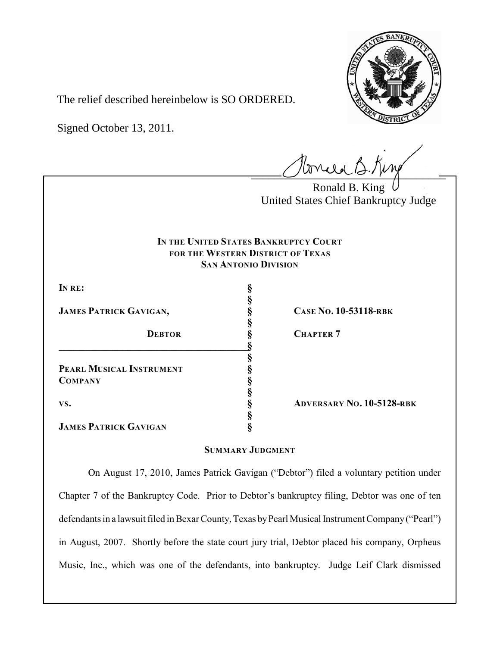

The relief described hereinbelow is SO ORDERED.

Signed October 13, 2011.

 $l$ onie B.Kin

Ronald B. King United States Chief Bankruptcy Judge

# **IN THE UNITED STATES BANKRUPTCY COURT FOR THE WESTERN DISTRICT OF TEXAS SAN ANTONIO DIVISION**

**§**

**§**

**§**

**§**

**§**

**IN RE: §**

**COMPANY §**

**JAMES PATRICK GAVIGAN, § CASE NO. 10-53118-RBK**

**\_\_\_\_\_\_\_\_\_\_\_\_\_\_\_\_\_\_\_\_\_\_\_\_\_\_\_\_\_\_\_\_\_\_\_\_\_\_\_§ PEARL MUSICAL INSTRUMENT §**

**DEBTOR § CHAPTER 7**

**VS. § ADVERSARY NO. 10-5128-RBK**

**JAMES PATRICK GAVIGAN §**

# **SUMMARY JUDGMENT**

On August 17, 2010, James Patrick Gavigan ("Debtor") filed a voluntary petition under Chapter 7 of the Bankruptcy Code. Prior to Debtor's bankruptcy filing, Debtor was one of ten defendants in a lawsuit filed in Bexar County, Texas by Pearl Musical Instrument Company ("Pearl") in August, 2007. Shortly before the state court jury trial, Debtor placed his company, Orpheus Music, Inc., which was one of the defendants, into bankruptcy. Judge Leif Clark dismissed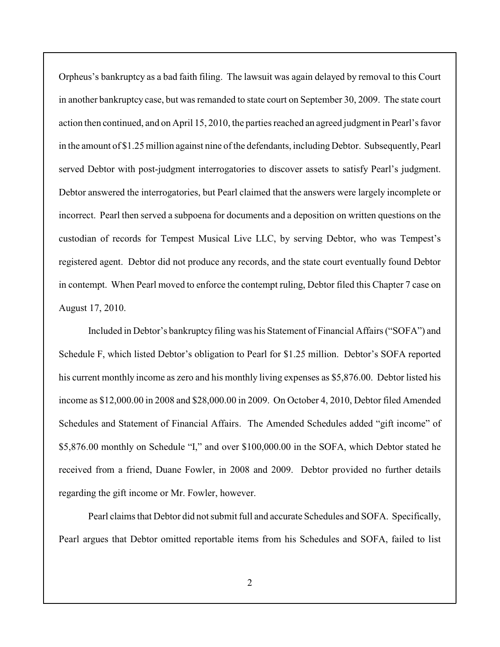Orpheus's bankruptcy as a bad faith filing. The lawsuit was again delayed by removal to this Court in another bankruptcy case, but was remanded to state court on September 30, 2009. The state court action then continued, and on April 15, 2010, the parties reached an agreed judgment in Pearl's favor in the amount of \$1.25 million against nine of the defendants, including Debtor. Subsequently, Pearl served Debtor with post-judgment interrogatories to discover assets to satisfy Pearl's judgment. Debtor answered the interrogatories, but Pearl claimed that the answers were largely incomplete or incorrect. Pearl then served a subpoena for documents and a deposition on written questions on the custodian of records for Tempest Musical Live LLC, by serving Debtor, who was Tempest's registered agent. Debtor did not produce any records, and the state court eventually found Debtor in contempt. When Pearl moved to enforce the contempt ruling, Debtor filed this Chapter 7 case on August 17, 2010.

Included in Debtor's bankruptcy filing was his Statement of Financial Affairs ("SOFA") and Schedule F, which listed Debtor's obligation to Pearl for \$1.25 million. Debtor's SOFA reported his current monthly income as zero and his monthly living expenses as \$5,876.00. Debtor listed his income as \$12,000.00 in 2008 and \$28,000.00 in 2009. On October 4, 2010, Debtor filed Amended Schedules and Statement of Financial Affairs. The Amended Schedules added "gift income" of \$5,876.00 monthly on Schedule "I," and over \$100,000.00 in the SOFA, which Debtor stated he received from a friend, Duane Fowler, in 2008 and 2009. Debtor provided no further details regarding the gift income or Mr. Fowler, however.

Pearl claims that Debtor did not submit full and accurate Schedules and SOFA. Specifically, Pearl argues that Debtor omitted reportable items from his Schedules and SOFA, failed to list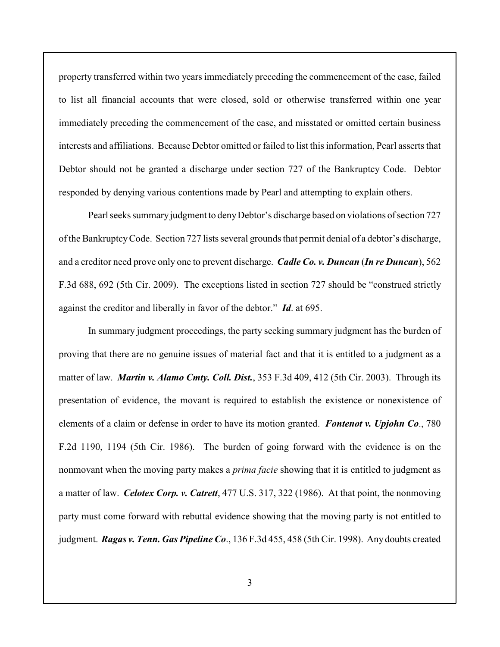property transferred within two years immediately preceding the commencement of the case, failed to list all financial accounts that were closed, sold or otherwise transferred within one year immediately preceding the commencement of the case, and misstated or omitted certain business interests and affiliations. Because Debtor omitted or failed to list this information, Pearl asserts that Debtor should not be granted a discharge under section 727 of the Bankruptcy Code. Debtor responded by denying various contentions made by Pearl and attempting to explain others.

Pearl seeks summary judgment to deny Debtor's discharge based on violations of section 727 of the Bankruptcy Code. Section 727 lists several grounds that permit denial of a debtor's discharge, and a creditor need prove only one to prevent discharge. *Cadle Co. v. Duncan* (*In re Duncan*), 562 F.3d 688, 692 (5th Cir. 2009). The exceptions listed in section 727 should be "construed strictly against the creditor and liberally in favor of the debtor." *Id*. at 695.

In summary judgment proceedings, the party seeking summary judgment has the burden of proving that there are no genuine issues of material fact and that it is entitled to a judgment as a matter of law. *Martin v. Alamo Cmty. Coll. Dist.*, 353 F.3d 409, 412 (5th Cir. 2003). Through its presentation of evidence, the movant is required to establish the existence or nonexistence of elements of a claim or defense in order to have its motion granted. *Fontenot v. Upjohn Co*., 780 F.2d 1190, 1194 (5th Cir. 1986). The burden of going forward with the evidence is on the nonmovant when the moving party makes a *prima facie* showing that it is entitled to judgment as a matter of law. *Celotex Corp. v. Catrett*, 477 U.S. 317, 322 (1986). At that point, the nonmoving party must come forward with rebuttal evidence showing that the moving party is not entitled to judgment. *Ragas v. Tenn. Gas Pipeline Co*., 136 F.3d 455, 458 (5th Cir. 1998). Any doubts created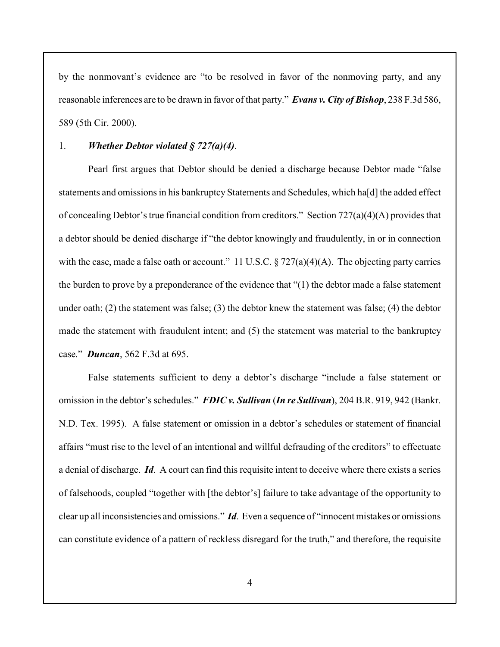by the nonmovant's evidence are "to be resolved in favor of the nonmoving party, and any reasonable inferences are to be drawn in favor of that party." *Evans v. City of Bishop*, 238 F.3d 586, 589 (5th Cir. 2000).

#### 1. *Whether Debtor violated § 727(a)(4)*.

Pearl first argues that Debtor should be denied a discharge because Debtor made "false statements and omissions in his bankruptcy Statements and Schedules, which ha[d] the added effect of concealing Debtor's true financial condition from creditors." Section 727(a)(4)(A) provides that a debtor should be denied discharge if "the debtor knowingly and fraudulently, in or in connection with the case, made a false oath or account." 11 U.S.C.  $\S 727(a)(4)(A)$ . The objecting party carries the burden to prove by a preponderance of the evidence that "(1) the debtor made a false statement under oath; (2) the statement was false; (3) the debtor knew the statement was false; (4) the debtor made the statement with fraudulent intent; and (5) the statement was material to the bankruptcy case." *Duncan*, 562 F.3d at 695.

False statements sufficient to deny a debtor's discharge "include a false statement or omission in the debtor's schedules." *FDIC v. Sullivan* (*In re Sullivan*), 204 B.R. 919, 942 (Bankr. N.D. Tex. 1995). A false statement or omission in a debtor's schedules or statement of financial affairs "must rise to the level of an intentional and willful defrauding of the creditors" to effectuate a denial of discharge. *Id*. A court can find this requisite intent to deceive where there exists a series of falsehoods, coupled "together with [the debtor's] failure to take advantage of the opportunity to clear up all inconsistencies and omissions." *Id*. Even a sequence of "innocent mistakes or omissions can constitute evidence of a pattern of reckless disregard for the truth," and therefore, the requisite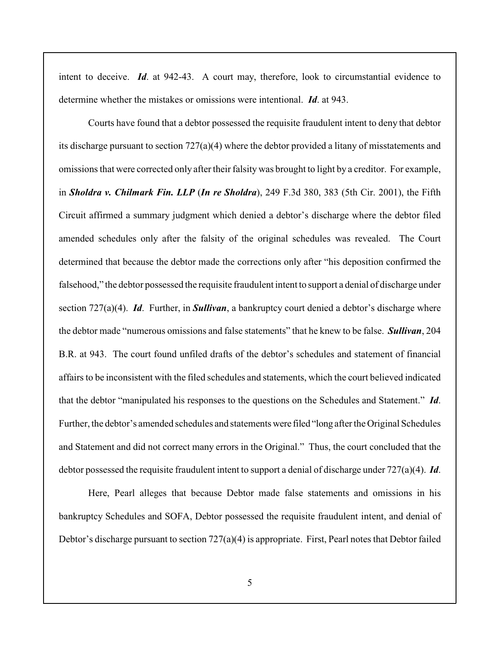intent to deceive. *Id*. at 942-43. A court may, therefore, look to circumstantial evidence to determine whether the mistakes or omissions were intentional. *Id*. at 943.

Courts have found that a debtor possessed the requisite fraudulent intent to deny that debtor its discharge pursuant to section  $727(a)(4)$  where the debtor provided a litany of misstatements and omissions that were corrected only after their falsity was brought to light by a creditor. For example, in *Sholdra v. Chilmark Fin. LLP* (*In re Sholdra*), 249 F.3d 380, 383 (5th Cir. 2001), the Fifth Circuit affirmed a summary judgment which denied a debtor's discharge where the debtor filed amended schedules only after the falsity of the original schedules was revealed. The Court determined that because the debtor made the corrections only after "his deposition confirmed the falsehood," the debtor possessed the requisite fraudulent intent to support a denial of discharge under section 727(a)(4). *Id*. Further, in *Sullivan*, a bankruptcy court denied a debtor's discharge where the debtor made "numerous omissions and false statements" that he knew to be false. *Sullivan*, 204 B.R. at 943. The court found unfiled drafts of the debtor's schedules and statement of financial affairs to be inconsistent with the filed schedules and statements, which the court believed indicated that the debtor "manipulated his responses to the questions on the Schedules and Statement." *Id*. Further, the debtor's amended schedules and statements were filed "long after the Original Schedules and Statement and did not correct many errors in the Original." Thus, the court concluded that the debtor possessed the requisite fraudulent intent to support a denial of discharge under 727(a)(4). *Id*.

Here, Pearl alleges that because Debtor made false statements and omissions in his bankruptcy Schedules and SOFA, Debtor possessed the requisite fraudulent intent, and denial of Debtor's discharge pursuant to section 727(a)(4) is appropriate. First, Pearl notes that Debtor failed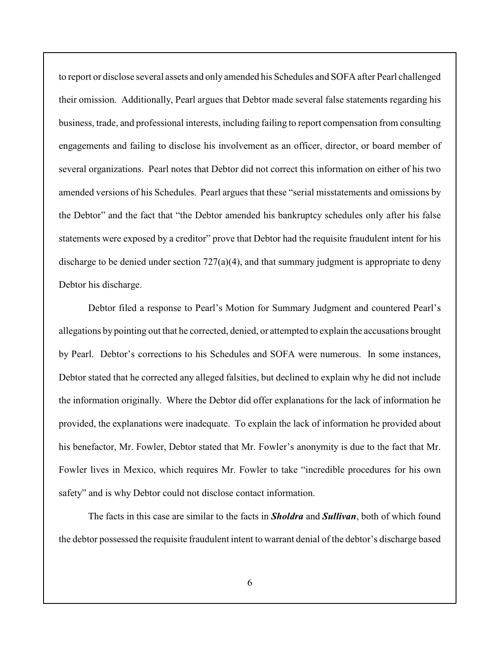to report or disclose several assets and only amended his Schedules and SOFA after Pearl challenged their omission. Additionally, Pearl argues that Debtor made several false statements regarding his business, trade, and professional interests, including failing to report compensation from consulting engagements and failing to disclose his involvement as an officer, director, or board member of several organizations. Pearl notes that Debtor did not correct this information on either of his two amended versions of his Schedules. Pearl argues that these "serial misstatements and omissions by the Debtor" and the fact that "the Debtor amended his bankruptcy schedules only after his false statements were exposed by a creditor" prove that Debtor had the requisite fraudulent intent for his discharge to be denied under section 727(a)(4), and that summary judgment is appropriate to deny Debtor his discharge.

Debtor filed a response to Pearl's Motion for Summary Judgment and countered Pearl's allegations by pointing out that he corrected, denied, or attempted to explain the accusations brought by Pearl. Debtor's corrections to his Schedules and SOFA were numerous. In some instances, Debtor stated that he corrected any alleged falsities, but declined to explain why he did not include the information originally. Where the Debtor did offer explanations for the lack of information he provided, the explanations were inadequate. To explain the lack of information he provided about his benefactor, Mr. Fowler, Debtor stated that Mr. Fowler's anonymity is due to the fact that Mr. Fowler lives in Mexico, which requires Mr. Fowler to take "incredible procedures for his own safety" and is why Debtor could not disclose contact information.

The facts in this case are similar to the facts in *Sholdra* and *Sullivan*, both of which found the debtor possessed the requisite fraudulent intent to warrant denial of the debtor's discharge based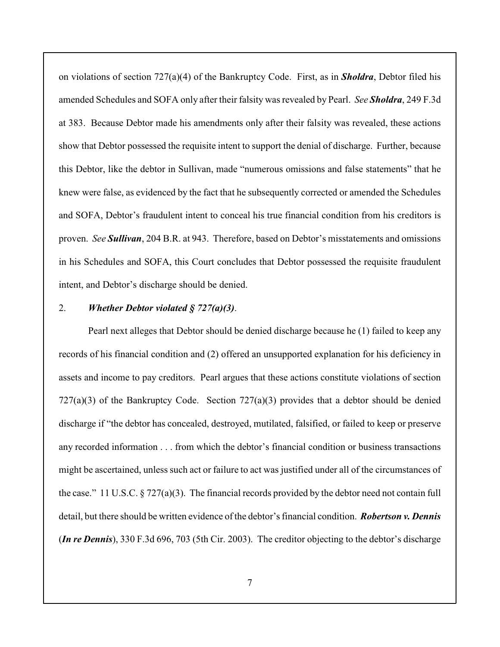on violations of section 727(a)(4) of the Bankruptcy Code. First, as in *Sholdra*, Debtor filed his amended Schedules and SOFA only after their falsity was revealed by Pearl. *See Sholdra*, 249 F.3d at 383. Because Debtor made his amendments only after their falsity was revealed, these actions show that Debtor possessed the requisite intent to support the denial of discharge. Further, because this Debtor, like the debtor in Sullivan, made "numerous omissions and false statements" that he knew were false, as evidenced by the fact that he subsequently corrected or amended the Schedules and SOFA, Debtor's fraudulent intent to conceal his true financial condition from his creditors is proven. *See Sullivan*, 204 B.R. at 943. Therefore, based on Debtor's misstatements and omissions in his Schedules and SOFA, this Court concludes that Debtor possessed the requisite fraudulent intent, and Debtor's discharge should be denied.

#### 2. *Whether Debtor violated § 727(a)(3)*.

Pearl next alleges that Debtor should be denied discharge because he (1) failed to keep any records of his financial condition and (2) offered an unsupported explanation for his deficiency in assets and income to pay creditors. Pearl argues that these actions constitute violations of section  $727(a)(3)$  of the Bankruptcy Code. Section  $727(a)(3)$  provides that a debtor should be denied discharge if "the debtor has concealed, destroyed, mutilated, falsified, or failed to keep or preserve any recorded information . . . from which the debtor's financial condition or business transactions might be ascertained, unless such act or failure to act was justified under all of the circumstances of the case." 11 U.S.C. § 727(a)(3). The financial records provided by the debtor need not contain full detail, but there should be written evidence of the debtor's financial condition. *Robertson v. Dennis* (*In re Dennis*), 330 F.3d 696, 703 (5th Cir. 2003). The creditor objecting to the debtor's discharge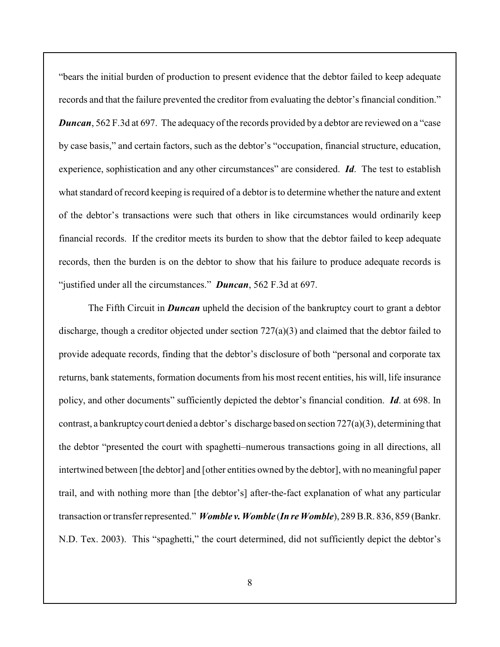"bears the initial burden of production to present evidence that the debtor failed to keep adequate records and that the failure prevented the creditor from evaluating the debtor's financial condition." *Duncan*, 562 F.3d at 697. The adequacy of the records provided by a debtor are reviewed on a "case" by case basis," and certain factors, such as the debtor's "occupation, financial structure, education, experience, sophistication and any other circumstances" are considered. *Id*. The test to establish what standard of record keeping is required of a debtor is to determine whether the nature and extent of the debtor's transactions were such that others in like circumstances would ordinarily keep financial records. If the creditor meets its burden to show that the debtor failed to keep adequate records, then the burden is on the debtor to show that his failure to produce adequate records is "justified under all the circumstances." *Duncan*, 562 F.3d at 697.

The Fifth Circuit in *Duncan* upheld the decision of the bankruptcy court to grant a debtor discharge, though a creditor objected under section  $727(a)(3)$  and claimed that the debtor failed to provide adequate records, finding that the debtor's disclosure of both "personal and corporate tax returns, bank statements, formation documents from his most recent entities, his will, life insurance policy, and other documents" sufficiently depicted the debtor's financial condition. *Id*. at 698. In contrast, a bankruptcy court denied a debtor's discharge based on section 727(a)(3), determining that the debtor "presented the court with spaghetti–numerous transactions going in all directions, all intertwined between [the debtor] and [other entities owned by the debtor], with no meaningful paper trail, and with nothing more than [the debtor's] after-the-fact explanation of what any particular transaction or transfer represented." *Womble v. Womble* (*In re Womble*), 289 B.R. 836, 859 (Bankr. N.D. Tex. 2003). This "spaghetti," the court determined, did not sufficiently depict the debtor's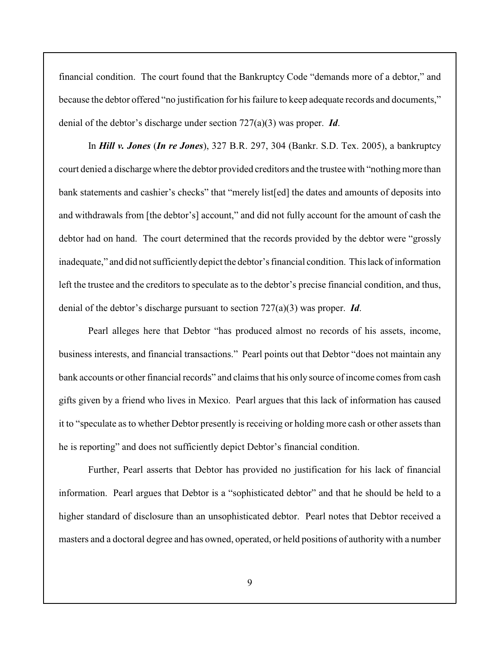financial condition. The court found that the Bankruptcy Code "demands more of a debtor," and because the debtor offered "no justification for his failure to keep adequate records and documents," denial of the debtor's discharge under section 727(a)(3) was proper. *Id*.

In *Hill v. Jones* (*In re Jones*), 327 B.R. 297, 304 (Bankr. S.D. Tex. 2005), a bankruptcy court denied a discharge where the debtor provided creditors and the trustee with "nothing more than bank statements and cashier's checks" that "merely list[ed] the dates and amounts of deposits into and withdrawals from [the debtor's] account," and did not fully account for the amount of cash the debtor had on hand. The court determined that the records provided by the debtor were "grossly inadequate," and did not sufficiently depict the debtor's financial condition. This lack of information left the trustee and the creditors to speculate as to the debtor's precise financial condition, and thus, denial of the debtor's discharge pursuant to section 727(a)(3) was proper. *Id*.

Pearl alleges here that Debtor "has produced almost no records of his assets, income, business interests, and financial transactions." Pearl points out that Debtor "does not maintain any bank accounts or other financial records" and claims that his only source of income comes from cash gifts given by a friend who lives in Mexico. Pearl argues that this lack of information has caused it to "speculate as to whether Debtor presently is receiving or holding more cash or other assets than he is reporting" and does not sufficiently depict Debtor's financial condition.

Further, Pearl asserts that Debtor has provided no justification for his lack of financial information. Pearl argues that Debtor is a "sophisticated debtor" and that he should be held to a higher standard of disclosure than an unsophisticated debtor. Pearl notes that Debtor received a masters and a doctoral degree and has owned, operated, or held positions of authority with a number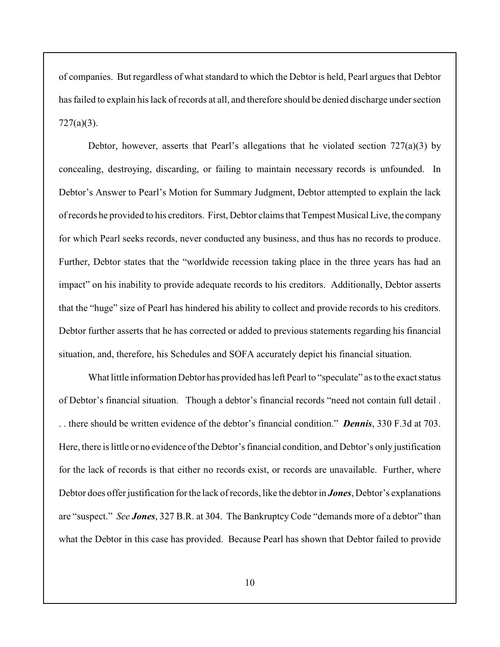of companies. But regardless of what standard to which the Debtor is held, Pearl argues that Debtor has failed to explain his lack of records at all, and therefore should be denied discharge under section 727(a)(3).

Debtor, however, asserts that Pearl's allegations that he violated section  $727(a)(3)$  by concealing, destroying, discarding, or failing to maintain necessary records is unfounded. In Debtor's Answer to Pearl's Motion for Summary Judgment, Debtor attempted to explain the lack of records he provided to his creditors. First, Debtor claims that Tempest Musical Live, the company for which Pearl seeks records, never conducted any business, and thus has no records to produce. Further, Debtor states that the "worldwide recession taking place in the three years has had an impact" on his inability to provide adequate records to his creditors. Additionally, Debtor asserts that the "huge" size of Pearl has hindered his ability to collect and provide records to his creditors. Debtor further asserts that he has corrected or added to previous statements regarding his financial situation, and, therefore, his Schedules and SOFA accurately depict his financial situation.

What little information Debtor has provided has left Pearl to "speculate" as to the exact status of Debtor's financial situation. Though a debtor's financial records "need not contain full detail . . . there should be written evidence of the debtor's financial condition." *Dennis*, 330 F.3d at 703. Here, there is little or no evidence of the Debtor's financial condition, and Debtor's only justification for the lack of records is that either no records exist, or records are unavailable. Further, where Debtor does offer justification for the lack of records, like the debtor in *Jones*, Debtor's explanations are "suspect." *See Jones*, 327 B.R. at 304. The Bankruptcy Code "demands more of a debtor" than what the Debtor in this case has provided. Because Pearl has shown that Debtor failed to provide